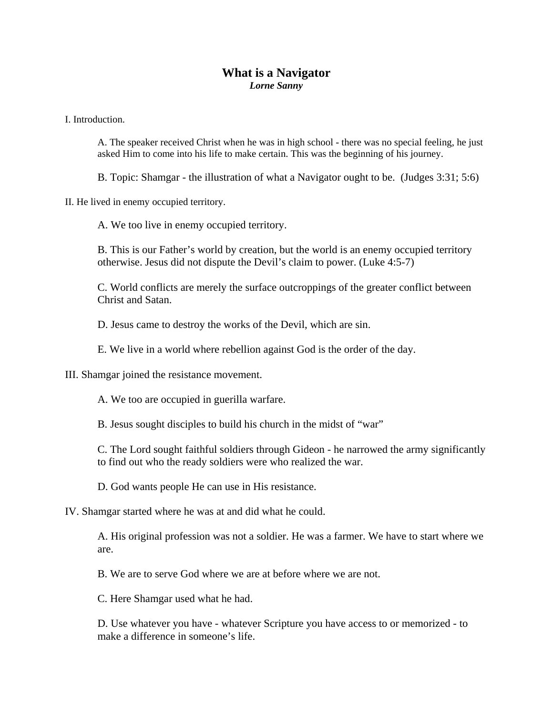## **What is a Navigator**  *Lorne Sanny*

I. Introduction.

A. The speaker received Christ when he was in high school - there was no special feeling, he just asked Him to come into his life to make certain. This was the beginning of his journey.

B. Topic: Shamgar - the illustration of what a Navigator ought to be. (Judges 3:31; 5:6)

II. He lived in enemy occupied territory.

A. We too live in enemy occupied territory.

B. This is our Father's world by creation, but the world is an enemy occupied territory otherwise. Jesus did not dispute the Devil's claim to power. (Luke 4:5-7)

C. World conflicts are merely the surface outcroppings of the greater conflict between Christ and Satan.

D. Jesus came to destroy the works of the Devil, which are sin.

E. We live in a world where rebellion against God is the order of the day.

III. Shamgar joined the resistance movement.

A. We too are occupied in guerilla warfare.

B. Jesus sought disciples to build his church in the midst of "war"

C. The Lord sought faithful soldiers through Gideon - he narrowed the army significantly to find out who the ready soldiers were who realized the war.

D. God wants people He can use in His resistance.

IV. Shamgar started where he was at and did what he could.

A. His original profession was not a soldier. He was a farmer. We have to start where we are.

B. We are to serve God where we are at before where we are not.

C. Here Shamgar used what he had.

D. Use whatever you have - whatever Scripture you have access to or memorized - to make a difference in someone's life.